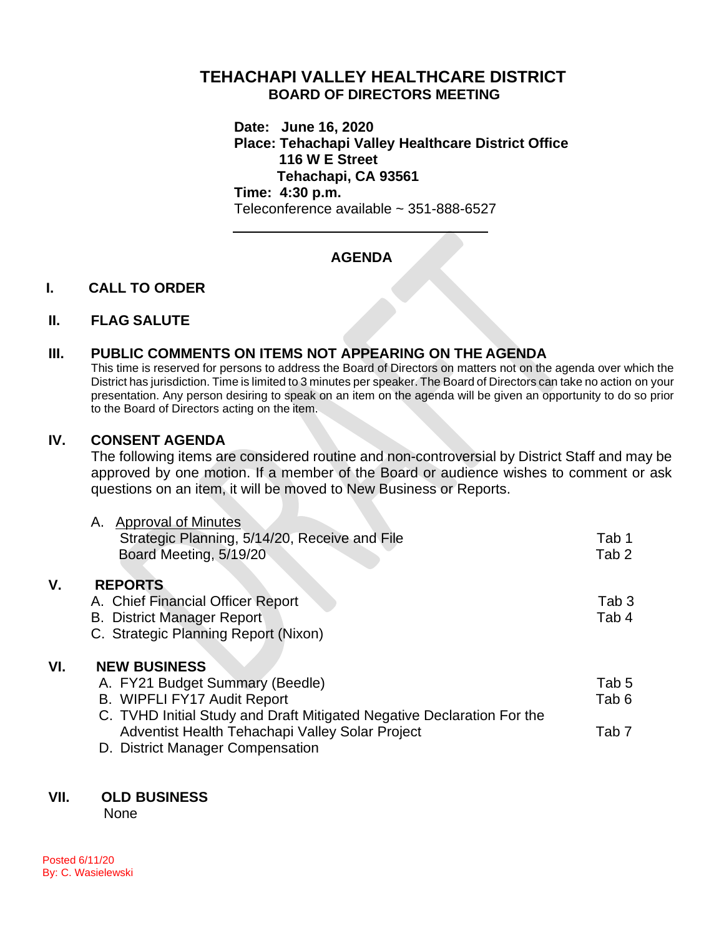# **TEHACHAPI VALLEY HEALTHCARE DISTRICT BOARD OF DIRECTORS MEETING**

**Date: June 16, 2020 Place: Tehachapi Valley Healthcare District Office 116 W E Street Tehachapi, CA 93561 Time: 4:30 p.m.**

Teleconference available ~ 351-888-6527

# **AGENDA**

## **I. CALL TO ORDER**

### **II. FLAG SALUTE**

## **III. PUBLIC COMMENTS ON ITEMS NOT APPEARING ON THE AGENDA**

This time is reserved for persons to address the Board of Directors on matters not on the agenda over which the District has jurisdiction. Time is limited to 3 minutes per speaker. The Board of Directors can take no action on your presentation. Any person desiring to speak on an item on the agenda will be given an opportunity to do so prior to the Board of Directors acting on the item.

### **IV. CONSENT AGENDA**

The following items are considered routine and non-controversial by District Staff and may be approved by one motion. If a member of the Board or audience wishes to comment or ask questions on an item, it will be moved to New Business or Reports.

|     | <b>Approval of Minutes</b><br>А.                                       |                  |
|-----|------------------------------------------------------------------------|------------------|
|     | Strategic Planning, 5/14/20, Receive and File                          | Tab 1            |
|     | Board Meeting, 5/19/20                                                 | Tab <sub>2</sub> |
| ۷.  | <b>REPORTS</b>                                                         |                  |
|     | A. Chief Financial Officer Report                                      | Tab 3            |
|     | <b>B. District Manager Report</b>                                      | Tab 4            |
|     | C. Strategic Planning Report (Nixon)                                   |                  |
| VI. | <b>NEW BUSINESS</b>                                                    |                  |
|     | A. FY21 Budget Summary (Beedle)                                        | Tab 5            |
|     | B. WIPFLI FY17 Audit Report                                            | Tab 6            |
|     | C. TVHD Initial Study and Draft Mitigated Negative Declaration For the |                  |
|     | Adventist Health Tehachapi Valley Solar Project                        | Tab <sub>7</sub> |
|     | D. District Manager Compensation                                       |                  |
|     |                                                                        |                  |

## **VII. OLD BUSINESS**

None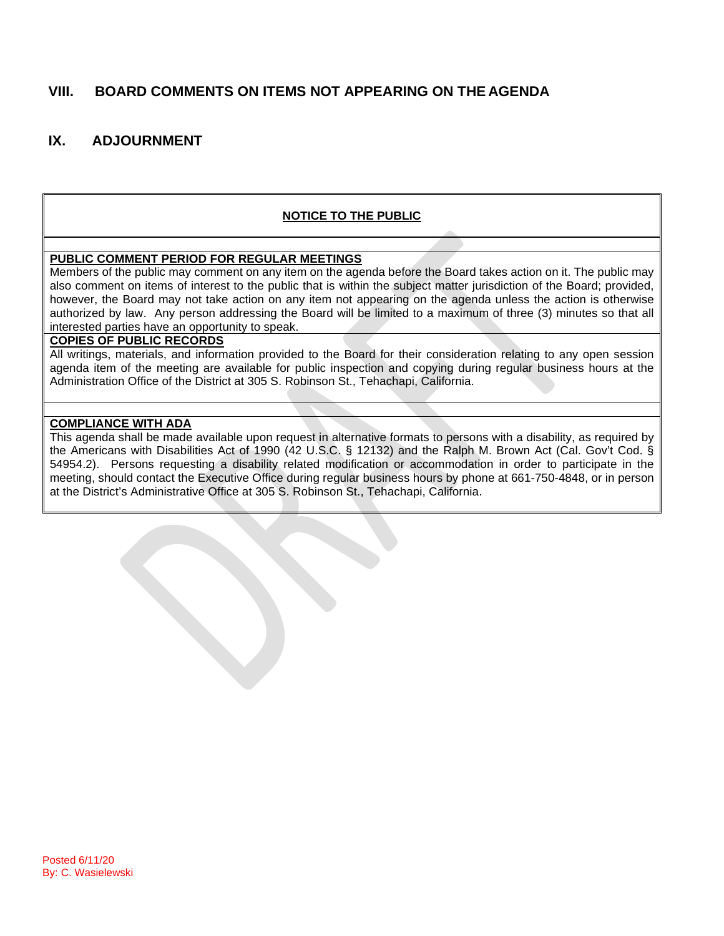## **VIII. BOARD COMMENTS ON ITEMS NOT APPEARING ON THE AGENDA**

## **IX. ADJOURNMENT**

#### **NOTICE TO THE PUBLIC**

#### **PUBLIC COMMENT PERIOD FOR REGULAR MEETINGS**

Members of the public may comment on any item on the agenda before the Board takes action on it. The public may also comment on items of interest to the public that is within the subject matter jurisdiction of the Board; provided, however, the Board may not take action on any item not appearing on the agenda unless the action is otherwise authorized by law. Any person addressing the Board will be limited to a maximum of three (3) minutes so that all interested parties have an opportunity to speak.

#### **COPIES OF PUBLIC RECORDS**

All writings, materials, and information provided to the Board for their consideration relating to any open session agenda item of the meeting are available for public inspection and copying during regular business hours at the Administration Office of the District at 305 S. Robinson St., Tehachapi, California.

#### **COMPLIANCE WITH ADA**

This agenda shall be made available upon request in alternative formats to persons with a disability, as required by the Americans with Disabilities Act of 1990 (42 U.S.C. § 12132) and the Ralph M. Brown Act (Cal. Gov't Cod. § 54954.2). Persons requesting a disability related modification or accommodation in order to participate in the meeting, should contact the Executive Office during regular business hours by phone at 661-750-4848, or in person at the District's Administrative Office at 305 S. Robinson St., Tehachapi, California.